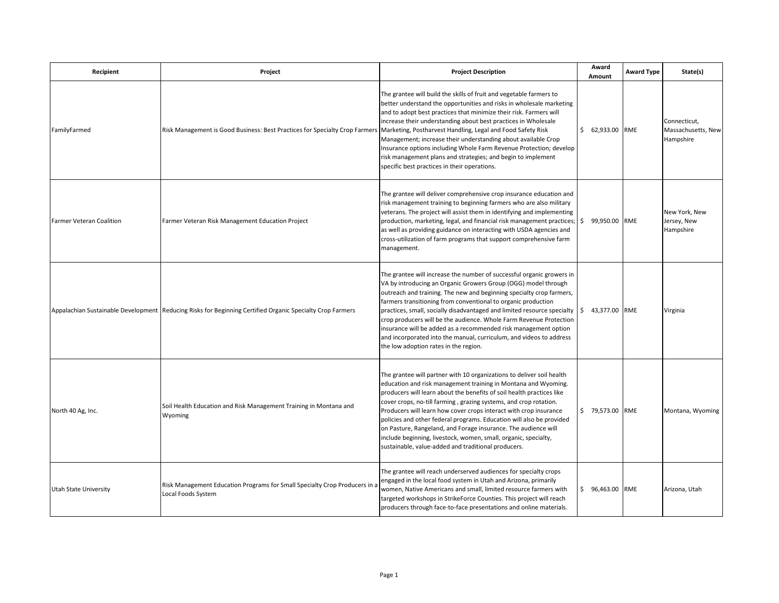| Recipient                       | Project                                                                                                   | <b>Project Description</b>                                                                                                                                                                                                                                                                                                                                                                                                                                                                                                                                                                                                     | Award<br>Amount               | <b>Award Type</b> | State(s)                                        |
|---------------------------------|-----------------------------------------------------------------------------------------------------------|--------------------------------------------------------------------------------------------------------------------------------------------------------------------------------------------------------------------------------------------------------------------------------------------------------------------------------------------------------------------------------------------------------------------------------------------------------------------------------------------------------------------------------------------------------------------------------------------------------------------------------|-------------------------------|-------------------|-------------------------------------------------|
| FamilyFarmed                    | Risk Management is Good Business: Best Practices for Specialty Crop Farmers                               | The grantee will build the skills of fruit and vegetable farmers to<br>better understand the opportunities and risks in wholesale marketing<br>and to adopt best practices that minimize their risk. Farmers will<br>increase their understanding about best practices in Wholesale<br>Marketing, Postharvest Handling, Legal and Food Safety Risk<br>Management; increase their understanding about available Crop<br>Insurance options including Whole Farm Revenue Protection; develop<br>risk management plans and strategies; and begin to implement<br>specific best practices in their operations.                      | \$ 62,933.00 RME              |                   | Connecticut,<br>Massachusetts, New<br>Hampshire |
| <b>Farmer Veteran Coalition</b> | Farmer Veteran Risk Management Education Project                                                          | The grantee will deliver comprehensive crop insurance education and<br>risk management training to beginning farmers who are also military<br>veterans. The project will assist them in identifying and implementing<br>production, marketing, legal, and financial risk management practices;<br>as well as providing guidance on interacting with USDA agencies and<br>cross-utilization of farm programs that support comprehensive farm<br>management.                                                                                                                                                                     | 99,950.00 RME<br>$\mathsf{S}$ |                   | New York, New<br>Jersey, New<br>Hampshire       |
|                                 | Appalachian Sustainable Development Reducing Risks for Beginning Certified Organic Specialty Crop Farmers | The grantee will increase the number of successful organic growers in<br>VA by introducing an Organic Growers Group (OGG) model through<br>outreach and training. The new and beginning specialty crop farmers,<br>farmers transitioning from conventional to organic production<br>practices, small, socially disadvantaged and limited resource specialty<br>crop producers will be the audience. Whole Farm Revenue Protection<br>insurance will be added as a recommended risk management option<br>and incorporated into the manual, curriculum, and videos to address<br>the low adoption rates in the region.           | \$ 43,377.00 RME              |                   | Virginia                                        |
| North 40 Ag, Inc.               | Soil Health Education and Risk Management Training in Montana and<br>Wyoming                              | The grantee will partner with 10 organizations to deliver soil health<br>education and risk management training in Montana and Wyoming.<br>producers will learn about the benefits of soil health practices like<br>cover crops, no-till farming, grazing systems, and crop rotation.<br>Producers will learn how cover crops interact with crop insurance<br>policies and other federal programs. Education will also be provided<br>on Pasture, Rangeland, and Forage insurance. The audience will<br>include beginning, livestock, women, small, organic, specialty,<br>sustainable, value-added and traditional producers. | \$ 79,573.00 RME              |                   | Montana, Wyoming                                |
| Utah State University           | Risk Management Education Programs for Small Specialty Crop Producers in a<br>Local Foods System          | The grantee will reach underserved audiences for specialty crops<br>engaged in the local food system in Utah and Arizona, primarily<br>women, Native Americans and small, limited resource farmers with<br>targeted workshops in StrikeForce Counties. This project will reach<br>producers through face-to-face presentations and online materials.                                                                                                                                                                                                                                                                           | \$ 96,463.00 RME              |                   | Arizona, Utah                                   |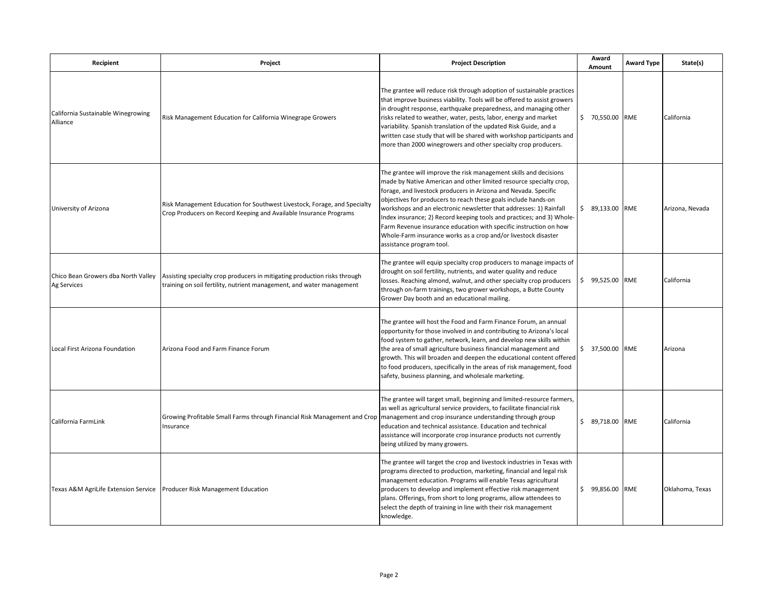| Recipient                                          | Project                                                                                                                                            | <b>Project Description</b>                                                                                                                                                                                                                                                                                                                                                                                                                                                                                                                                                                     | Award<br>Amount  | <b>Award Type</b> | State(s)        |
|----------------------------------------------------|----------------------------------------------------------------------------------------------------------------------------------------------------|------------------------------------------------------------------------------------------------------------------------------------------------------------------------------------------------------------------------------------------------------------------------------------------------------------------------------------------------------------------------------------------------------------------------------------------------------------------------------------------------------------------------------------------------------------------------------------------------|------------------|-------------------|-----------------|
| California Sustainable Winegrowing<br>Alliance     | Risk Management Education for California Winegrape Growers                                                                                         | The grantee will reduce risk through adoption of sustainable practices<br>that improve business viability. Tools will be offered to assist growers<br>in drought response, earthquake preparedness, and managing other<br>risks related to weather, water, pests, labor, energy and market<br>variability. Spanish translation of the updated Risk Guide, and a<br>written case study that will be shared with workshop participants and<br>more than 2000 winegrowers and other specialty crop producers.                                                                                     | \$ 70,550.00 RME |                   | California      |
| University of Arizona                              | Risk Management Education for Southwest Livestock, Forage, and Specialty<br>Crop Producers on Record Keeping and Available Insurance Programs      | The grantee will improve the risk management skills and decisions<br>made by Native American and other limited resource specialty crop,<br>forage, and livestock producers in Arizona and Nevada. Specific<br>objectives for producers to reach these goals include hands-on<br>workshops and an electronic newsletter that addresses: 1) Rainfall<br>Index insurance; 2) Record keeping tools and practices; and 3) Whole-<br>Farm Revenue insurance education with specific instruction on how<br>Whole-Farm insurance works as a crop and/or livestock disaster<br>assistance program tool. | \$ 89,133.00 RME |                   | Arizona, Nevada |
| Chico Bean Growers dba North Valley<br>Ag Services | Assisting specialty crop producers in mitigating production risks through<br>training on soil fertility, nutrient management, and water management | The grantee will equip specialty crop producers to manage impacts of<br>drought on soil fertility, nutrients, and water quality and reduce<br>losses. Reaching almond, walnut, and other specialty crop producers<br>through on-farm trainings, two grower workshops, a Butte County<br>Grower Day booth and an educational mailing.                                                                                                                                                                                                                                                           | \$ 99.525.00 RME |                   | California      |
| Local First Arizona Foundation                     | Arizona Food and Farm Finance Forum                                                                                                                | The grantee will host the Food and Farm Finance Forum, an annual<br>opportunity for those involved in and contributing to Arizona's local<br>food system to gather, network, learn, and develop new skills within<br>the area of small agriculture business financial management and<br>growth. This will broaden and deepen the educational content offered<br>to food producers, specifically in the areas of risk management, food<br>safety, business planning, and wholesale marketing.                                                                                                   | \$ 37,500.00 RME |                   | Arizona         |
| California FarmLink                                | Growing Profitable Small Farms through Financial Risk Management and Crop   management and crop insurance understanding through group<br>Insurance | The grantee will target small, beginning and limited-resource farmers,<br>as well as agricultural service providers, to facilitate financial risk<br>education and technical assistance. Education and technical<br>assistance will incorporate crop insurance products not currently<br>being utilized by many growers.                                                                                                                                                                                                                                                                       | \$ 89,718.00 RME |                   | California      |
| Texas A&M AgriLife Extension Service               | <b>Producer Risk Management Education</b>                                                                                                          | The grantee will target the crop and livestock industries in Texas with<br>programs directed to production, marketing, financial and legal risk<br>management education. Programs will enable Texas agricultural<br>producers to develop and implement effective risk management<br>plans. Offerings, from short to long programs, allow attendees to<br>select the depth of training in line with their risk management<br>knowledge.                                                                                                                                                         | \$ 99,856.00 RME |                   | Oklahoma, Texas |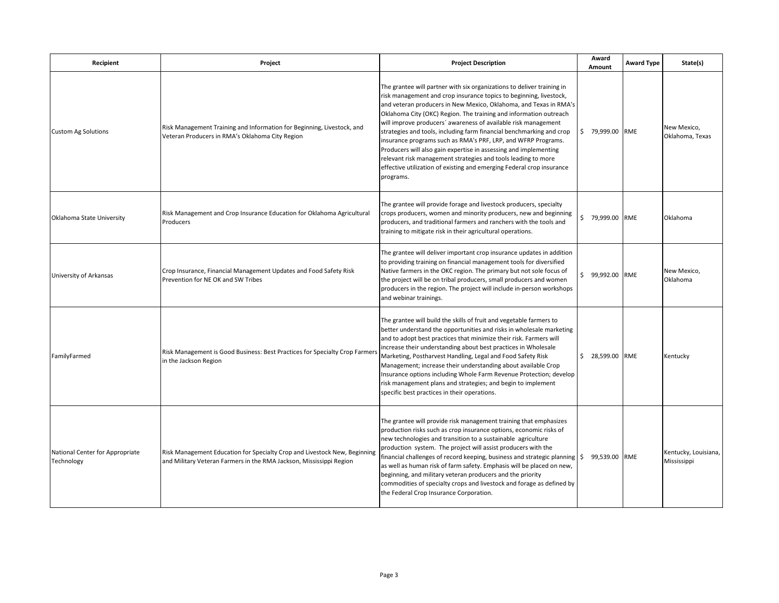| Recipient                                     | Project                                                                                                                                          | <b>Project Description</b>                                                                                                                                                                                                                                                                                                                                                                                                                                                                                                                                                                                                                                                                                                   | Award<br>Amount     | <b>Award Type</b> | State(s)                            |
|-----------------------------------------------|--------------------------------------------------------------------------------------------------------------------------------------------------|------------------------------------------------------------------------------------------------------------------------------------------------------------------------------------------------------------------------------------------------------------------------------------------------------------------------------------------------------------------------------------------------------------------------------------------------------------------------------------------------------------------------------------------------------------------------------------------------------------------------------------------------------------------------------------------------------------------------------|---------------------|-------------------|-------------------------------------|
| <b>Custom Ag Solutions</b>                    | Risk Management Training and Information for Beginning, Livestock, and<br>Veteran Producers in RMA's Oklahoma City Region                        | The grantee will partner with six organizations to deliver training in<br>risk management and crop insurance topics to beginning, livestock,<br>and veteran producers in New Mexico, Oklahoma, and Texas in RMA's<br>Oklahoma City (OKC) Region. The training and information outreach<br>will improve producers' awareness of available risk management<br>strategies and tools, including farm financial benchmarking and crop<br>insurance programs such as RMA's PRF, LRP, and WFRP Programs.<br>Producers will also gain expertise in assessing and implementing<br>relevant risk management strategies and tools leading to more<br>effective utilization of existing and emerging Federal crop insurance<br>programs. | \$ 79,999.00 RME    |                   | New Mexico,<br>Oklahoma, Texas      |
| Oklahoma State University                     | Risk Management and Crop Insurance Education for Oklahoma Agricultural<br>Producers                                                              | The grantee will provide forage and livestock producers, specialty<br>crops producers, women and minority producers, new and beginning<br>producers, and traditional farmers and ranchers with the tools and<br>training to mitigate risk in their agricultural operations.                                                                                                                                                                                                                                                                                                                                                                                                                                                  | \$ 79,999.00 RME    |                   | Oklahoma                            |
| University of Arkansas                        | Crop Insurance, Financial Management Updates and Food Safety Risk<br>Prevention for NE OK and SW Tribes                                          | The grantee will deliver important crop insurance updates in addition<br>to providing training on financial management tools for diversified<br>Native farmers in the OKC region. The primary but not sole focus of<br>the project will be on tribal producers, small producers and women<br>producers in the region. The project will include in-person workshops<br>and webinar trainings.                                                                                                                                                                                                                                                                                                                                 | \$<br>99,992.00 RME |                   | New Mexico,<br>Oklahoma             |
| FamilyFarmed                                  | Risk Management is Good Business: Best Practices for Specialty Crop Farmers<br>in the Jackson Region                                             | The grantee will build the skills of fruit and vegetable farmers to<br>better understand the opportunities and risks in wholesale marketing<br>and to adopt best practices that minimize their risk. Farmers will<br>increase their understanding about best practices in Wholesale<br>Marketing, Postharvest Handling, Legal and Food Safety Risk<br>Management; increase their understanding about available Crop<br>Insurance options including Whole Farm Revenue Protection; develop<br>risk management plans and strategies; and begin to implement<br>specific best practices in their operations.                                                                                                                    | \$ 28,599.00 RME    |                   | Kentucky                            |
| National Center for Appropriate<br>Technology | Risk Management Education for Specialty Crop and Livestock New, Beginning<br>and Military Veteran Farmers in the RMA Jackson, Mississippi Region | The grantee will provide risk management training that emphasizes<br>production risks such as crop insurance options, economic risks of<br>new technologies and transition to a sustainable agriculture<br>production system. The project will assist producers with the<br>financial challenges of record keeping, business and strategic planning<br>as well as human risk of farm safety. Emphasis will be placed on new,<br>beginning, and military veteran producers and the priority<br>commodities of specialty crops and livestock and forage as defined by<br>the Federal Crop Insurance Corporation.                                                                                                               | \$<br>99,539.00 RME |                   | Kentucky, Louisiana,<br>Mississippi |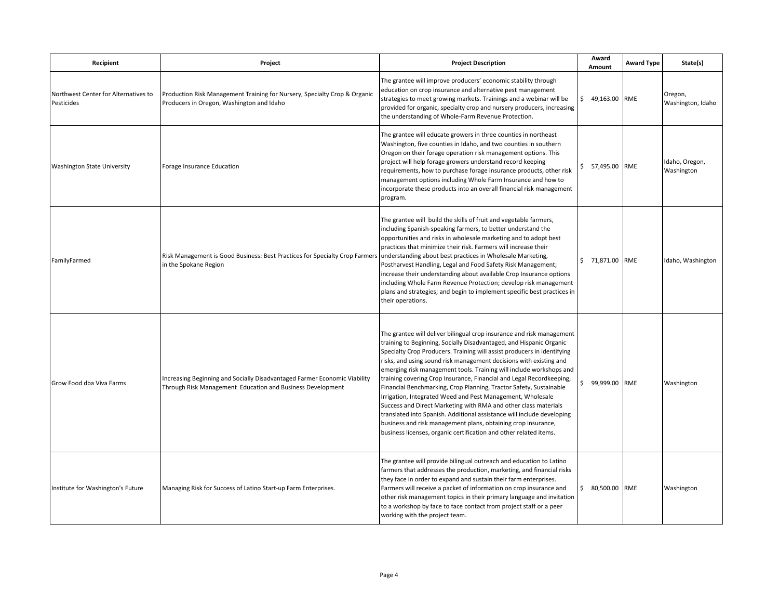| Recipient                                          | Project                                                                                                                                 | <b>Project Description</b>                                                                                                                                                                                                                                                                                                                                                                                                                                                                                                                                                                                                                                                                                                                                                                                                                                          | Award<br>Amount     | <b>Award Type</b> | State(s)                     |
|----------------------------------------------------|-----------------------------------------------------------------------------------------------------------------------------------------|---------------------------------------------------------------------------------------------------------------------------------------------------------------------------------------------------------------------------------------------------------------------------------------------------------------------------------------------------------------------------------------------------------------------------------------------------------------------------------------------------------------------------------------------------------------------------------------------------------------------------------------------------------------------------------------------------------------------------------------------------------------------------------------------------------------------------------------------------------------------|---------------------|-------------------|------------------------------|
| Northwest Center for Alternatives to<br>Pesticides | Production Risk Management Training for Nursery, Specialty Crop & Organic<br>Producers in Oregon, Washington and Idaho                  | The grantee will improve producers' economic stability through<br>education on crop insurance and alternative pest management<br>strategies to meet growing markets. Trainings and a webinar will be<br>provided for organic, specialty crop and nursery producers, increasing<br>the understanding of Whole-Farm Revenue Protection.                                                                                                                                                                                                                                                                                                                                                                                                                                                                                                                               | \$ 49,163.00 RME    |                   | Oregon,<br>Washington, Idaho |
| <b>Washington State University</b>                 | Forage Insurance Education                                                                                                              | The grantee will educate growers in three counties in northeast<br>Washington, five counties in Idaho, and two counties in southern<br>Oregon on their forage operation risk management options. This<br>project will help forage growers understand record keeping<br>requirements, how to purchase forage insurance products, other risk<br>management options including Whole Farm Insurance and how to<br>incorporate these products into an overall financial risk management<br>program.                                                                                                                                                                                                                                                                                                                                                                      | 57,495.00 RME<br>\$ |                   | Idaho, Oregon,<br>Washington |
| FamilyFarmed                                       | Risk Management is Good Business: Best Practices for Specialty Crop Farmers<br>in the Spokane Region                                    | The grantee will build the skills of fruit and vegetable farmers,<br>including Spanish-speaking farmers, to better understand the<br>opportunities and risks in wholesale marketing and to adopt best<br>practices that minimize their risk. Farmers will increase their<br>understanding about best practices in Wholesale Marketing,<br>Postharvest Handling, Legal and Food Safety Risk Management;<br>increase their understanding about available Crop Insurance options<br>including Whole Farm Revenue Protection; develop risk management<br>plans and strategies; and begin to implement specific best practices in<br>their operations.                                                                                                                                                                                                                   | \$ 71,871.00 RME    |                   | Idaho, Washington            |
| Grow Food dba Viva Farms                           | Increasing Beginning and Socially Disadvantaged Farmer Economic Viability<br>Through Risk Management Education and Business Development | The grantee will deliver bilingual crop insurance and risk management<br>training to Beginning, Socially Disadvantaged, and Hispanic Organic<br>Specialty Crop Producers. Training will assist producers in identifying<br>risks, and using sound risk management decisions with existing and<br>emerging risk management tools. Training will include workshops and<br>training covering Crop Insurance, Financial and Legal Recordkeeping,<br>Financial Benchmarking, Crop Planning, Tractor Safety, Sustainable<br>Irrigation, Integrated Weed and Pest Management, Wholesale<br>Success and Direct Marketing with RMA and other class materials<br>translated into Spanish. Additional assistance will include developing<br>business and risk management plans, obtaining crop insurance,<br>business licenses, organic certification and other related items. | \$<br>99,999.00 RME |                   | Washington                   |
| Institute for Washington's Future                  | Managing Risk for Success of Latino Start-up Farm Enterprises.                                                                          | The grantee will provide bilingual outreach and education to Latino<br>farmers that addresses the production, marketing, and financial risks<br>they face in order to expand and sustain their farm enterprises.<br>Farmers will receive a packet of information on crop insurance and<br>other risk management topics in their primary language and invitation<br>to a workshop by face to face contact from project staff or a peer<br>working with the project team.                                                                                                                                                                                                                                                                                                                                                                                             | \$ 80,500.00 RME    |                   | Washington                   |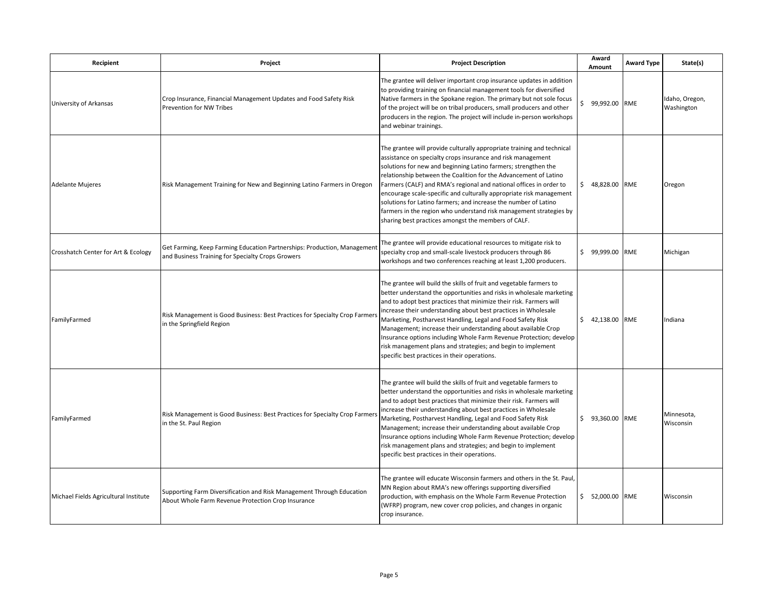| Recipient                             | Project                                                                                                                       | <b>Project Description</b>                                                                                                                                                                                                                                                                                                                                                                                                                                                                                                                                                                                               | Award<br>Amount  | <b>Award Type</b> | State(s)                     |
|---------------------------------------|-------------------------------------------------------------------------------------------------------------------------------|--------------------------------------------------------------------------------------------------------------------------------------------------------------------------------------------------------------------------------------------------------------------------------------------------------------------------------------------------------------------------------------------------------------------------------------------------------------------------------------------------------------------------------------------------------------------------------------------------------------------------|------------------|-------------------|------------------------------|
| University of Arkansas                | Crop Insurance, Financial Management Updates and Food Safety Risk<br>Prevention for NW Tribes                                 | The grantee will deliver important crop insurance updates in addition<br>to providing training on financial management tools for diversified<br>Native farmers in the Spokane region. The primary but not sole focus<br>of the project will be on tribal producers, small producers and other<br>producers in the region. The project will include in-person workshops<br>and webinar trainings.                                                                                                                                                                                                                         | \$ 99,992.00 RME |                   | Idaho, Oregon,<br>Washington |
| <b>Adelante Mujeres</b>               | Risk Management Training for New and Beginning Latino Farmers in Oregon                                                       | The grantee will provide culturally appropriate training and technical<br>assistance on specialty crops insurance and risk management<br>solutions for new and beginning Latino farmers; strengthen the<br>relationship between the Coalition for the Advancement of Latino<br>Farmers (CALF) and RMA's regional and national offices in order to<br>encourage scale-specific and culturally appropriate risk management<br>solutions for Latino farmers; and increase the number of Latino<br>farmers in the region who understand risk management strategies by<br>sharing best practices amongst the members of CALF. | \$ 48,828.00 RME |                   | Oregon                       |
| Crosshatch Center for Art & Ecology   | Get Farming, Keep Farming Education Partnerships: Production, Management<br>and Business Training for Specialty Crops Growers | The grantee will provide educational resources to mitigate risk to<br>specialty crop and small-scale livestock producers through 86<br>workshops and two conferences reaching at least 1,200 producers.                                                                                                                                                                                                                                                                                                                                                                                                                  | \$ 99,999.00 RME |                   | Michigan                     |
| FamilyFarmed                          | Risk Management is Good Business: Best Practices for Specialty Crop Farmer<br>in the Springfield Region                       | The grantee will build the skills of fruit and vegetable farmers to<br>better understand the opportunities and risks in wholesale marketing<br>and to adopt best practices that minimize their risk. Farmers will<br>increase their understanding about best practices in Wholesale<br>Marketing, Postharvest Handling, Legal and Food Safety Risk<br>Management; increase their understanding about available Crop<br>Insurance options including Whole Farm Revenue Protection; develop<br>risk management plans and strategies; and begin to implement<br>specific best practices in their operations.                | \$ 42,138.00 RME |                   | Indiana                      |
| FamilyFarmed                          | Risk Management is Good Business: Best Practices for Specialty Crop Farmer<br>in the St. Paul Region                          | The grantee will build the skills of fruit and vegetable farmers to<br>better understand the opportunities and risks in wholesale marketing<br>and to adopt best practices that minimize their risk. Farmers will<br>increase their understanding about best practices in Wholesale<br>Marketing, Postharvest Handling, Legal and Food Safety Risk<br>Management; increase their understanding about available Crop<br>Insurance options including Whole Farm Revenue Protection; develop<br>risk management plans and strategies; and begin to implement<br>specific best practices in their operations.                | \$ 93,360.00 RME |                   | Minnesota,<br>Wisconsin      |
| Michael Fields Agricultural Institute | Supporting Farm Diversification and Risk Management Through Education<br>About Whole Farm Revenue Protection Crop Insurance   | The grantee will educate Wisconsin farmers and others in the St. Paul,<br>MN Region about RMA's new offerings supporting diversified<br>production, with emphasis on the Whole Farm Revenue Protection<br>(WFRP) program, new cover crop policies, and changes in organic<br>crop insurance.                                                                                                                                                                                                                                                                                                                             | \$ 52,000.00 RME |                   | Wisconsin                    |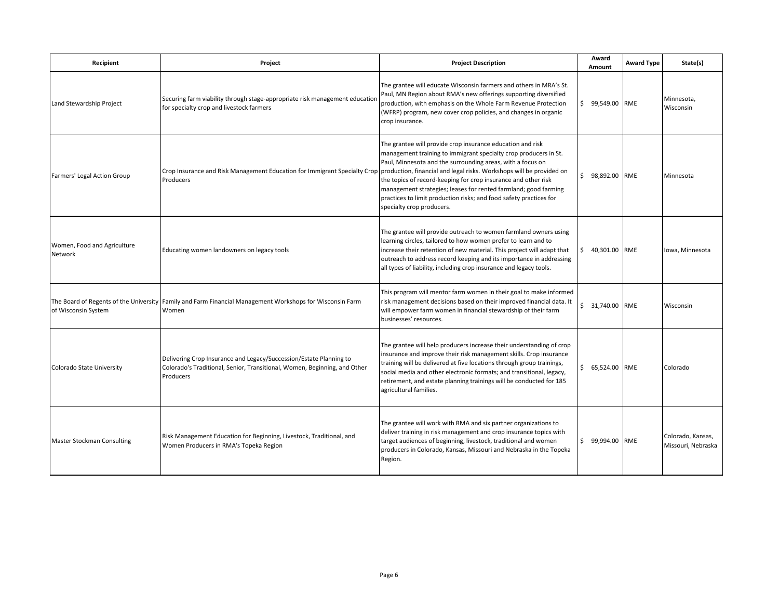| Recipient                              | Project                                                                                                                                                      | <b>Project Description</b>                                                                                                                                                                                                                                                                                                                                                                                                                                                                                   | Award<br>Amount  | <b>Award Type</b> | State(s)                                |
|----------------------------------------|--------------------------------------------------------------------------------------------------------------------------------------------------------------|--------------------------------------------------------------------------------------------------------------------------------------------------------------------------------------------------------------------------------------------------------------------------------------------------------------------------------------------------------------------------------------------------------------------------------------------------------------------------------------------------------------|------------------|-------------------|-----------------------------------------|
| Land Stewardship Project               | Securing farm viability through stage-appropriate risk management education<br>for specialty crop and livestock farmers                                      | The grantee will educate Wisconsin farmers and others in MRA's St.<br>Paul, MN Region about RMA's new offerings supporting diversified<br>production, with emphasis on the Whole Farm Revenue Protection<br>(WFRP) program, new cover crop policies, and changes in organic<br>crop insurance.                                                                                                                                                                                                               | \$ 99,549.00 RME |                   | Minnesota,<br>Wisconsin                 |
| Farmers' Legal Action Group            | Crop Insurance and Risk Management Education for Immigrant Specialty Crop<br>Producers                                                                       | The grantee will provide crop insurance education and risk<br>management training to immigrant specialty crop producers in St.<br>Paul, Minnesota and the surrounding areas, with a focus on<br>production, financial and legal risks. Workshops will be provided on<br>the topics of record-keeping for crop insurance and other risk<br>management strategies; leases for rented farmland; good farming<br>practices to limit production risks; and food safety practices for<br>specialty crop producers. | \$ 98,892.00 RME |                   | Minnesota                               |
| Women, Food and Agriculture<br>Network | Educating women landowners on legacy tools                                                                                                                   | The grantee will provide outreach to women farmland owners using<br>learning circles, tailored to how women prefer to learn and to<br>increase their retention of new material. This project will adapt that<br>outreach to address record keeping and its importance in addressing<br>all types of liability, including crop insurance and legacy tools.                                                                                                                                                    | \$ 40,301.00 RME |                   | Iowa, Minnesota                         |
| of Wisconsin System                    | The Board of Regents of the University Family and Farm Financial Management Workshops for Wisconsin Farm<br>Women                                            | This program will mentor farm women in their goal to make informed<br>risk management decisions based on their improved financial data. It<br>will empower farm women in financial stewardship of their farm<br>businesses' resources.                                                                                                                                                                                                                                                                       | \$ 31,740.00 RME |                   | Wisconsin                               |
| Colorado State University              | Delivering Crop Insurance and Legacy/Succession/Estate Planning to<br>Colorado's Traditional, Senior, Transitional, Women, Beginning, and Other<br>Producers | The grantee will help producers increase their understanding of crop<br>insurance and improve their risk management skills. Crop insurance<br>training will be delivered at five locations through group trainings,<br>social media and other electronic formats; and transitional, legacy,<br>retirement, and estate planning trainings will be conducted for 185<br>agricultural families.                                                                                                                 | \$ 65,524.00 RME |                   | Colorado                                |
| Master Stockman Consulting             | Risk Management Education for Beginning, Livestock, Traditional, and<br>Women Producers in RMA's Topeka Region                                               | The grantee will work with RMA and six partner organizations to<br>deliver training in risk management and crop insurance topics with<br>target audiences of beginning, livestock, traditional and women<br>producers in Colorado, Kansas, Missouri and Nebraska in the Topeka<br>Region.                                                                                                                                                                                                                    | \$ 99,994.00 RME |                   | Colorado, Kansas,<br>Missouri, Nebraska |